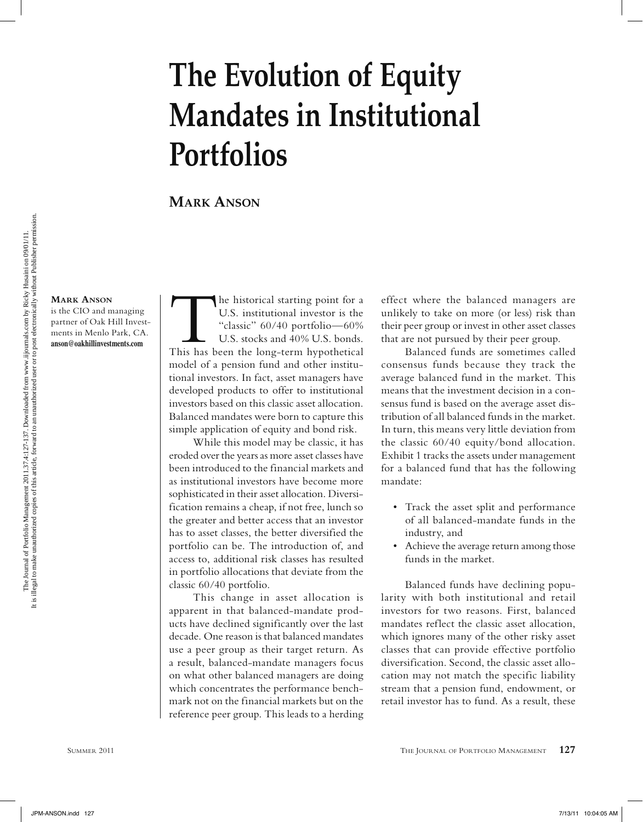# **The Evolution of Equity Mandates in Institutional Portfolios**

**MARK ANSON**

**MARK ANSON**

is the CIO and managing partner of Oak Hill Investments in Menlo Park, CA.<br>anson@oakhillinvestments.com

MARK ANSON<br>
is the CIO and managing<br>
partner of Oak Hill Invest-<br>
ments in Menlo Park, CA.<br> **anson@oakhillinvestments.com**<br>
This has been the long-term hypothetical<br>
This has been the long-term hypothetical U.S. institutional investor is the "classic" 60/40 portfolio—60% U.S. stocks and 40% U.S. bonds. This has been the long-term hypothetical model of a pension fund and other institutional investors. In fact, asset managers have developed products to offer to institutional investors based on this classic asset allocation. Balanced mandates were born to capture this simple application of equity and bond risk.

> While this model may be classic, it has eroded over the years as more asset classes have been introduced to the financial markets and as institutional investors have become more sophisticated in their asset allocation. Diversification remains a cheap, if not free, lunch so the greater and better access that an investor has to asset classes, the better diversified the portfolio can be. The introduction of, and access to, additional risk classes has resulted in portfolio allocations that deviate from the classic 60/40 portfolio.

> This change in asset allocation is apparent in that balanced-mandate products have declined significantly over the last decade. One reason is that balanced mandates use a peer group as their target return. As a result, balanced-mandate managers focus on what other balanced managers are doing which concentrates the performance benchmark not on the financial markets but on the reference peer group. This leads to a herding

effect where the balanced managers are unlikely to take on more (or less) risk than their peer group or invest in other asset classes that are not pursued by their peer group.

Balanced funds are sometimes called consensus funds because they track the average balanced fund in the market. This means that the investment decision in a consensus fund is based on the average asset distribution of all balanced funds in the market. In turn, this means very little deviation from the classic 60/40 equity/bond allocation. Exhibit 1 tracks the assets under management for a balanced fund that has the following mandate:

- Track the asset split and performance of all balanced-mandate funds in the industry, and
- Achieve the average return among those funds in the market.

Balanced funds have declining popularity with both institutional and retail investors for two reasons. First, balanced mandates reflect the classic asset allocation, which ignores many of the other risky asset classes that can provide effective portfolio diversification. Second, the classic asset allocation may not match the specific liability stream that a pension fund, endowment, or retail investor has to fund. As a result, these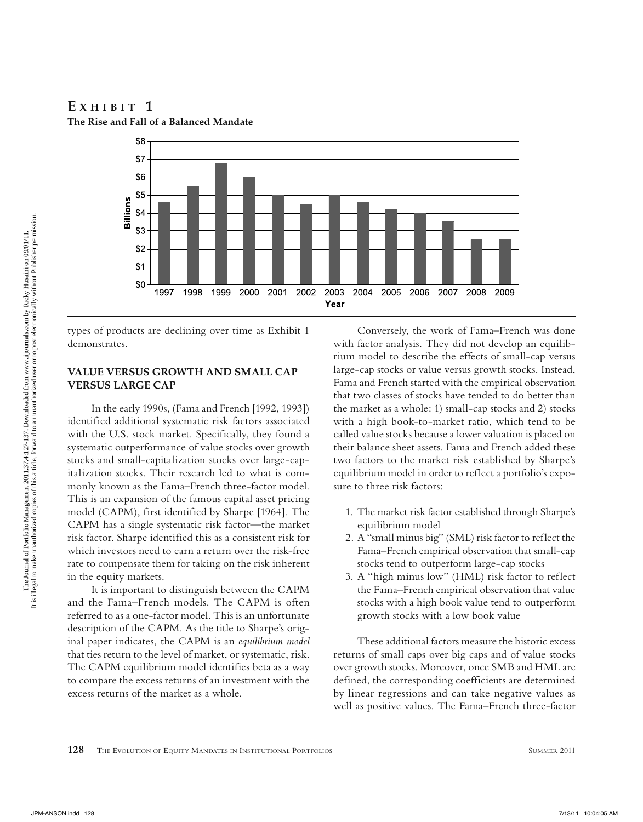

types of products are declining over time as Exhibit 1 demonstrates.

#### **VALUE VERSUS GROWTH AND SMALL CAP VERSUS LARGE CAP**

In the early 1990s, (Fama and French [1992, 1993]) identified additional systematic risk factors associated with the U.S. stock market. Specifically, they found a systematic outperformance of value stocks over growth stocks and small-capitalization stocks over large-capitalization stocks. Their research led to what is commonly known as the Fama–French three-factor model. This is an expansion of the famous capital asset pricing model (CAPM), first identified by Sharpe [1964]. The CAPM has a single systematic risk factor—the market risk factor. Sharpe identified this as a consistent risk for which investors need to earn a return over the risk-free rate to compensate them for taking on the risk inherent in the equity markets.

It is important to distinguish between the CAPM and the Fama–French models. The CAPM is often referred to as a one-factor model. This is an unfortunate description of the CAPM. As the title to Sharpe's original paper indicates, the CAPM is an *equilibrium model* that ties return to the level of market, or systematic, risk. The CAPM equilibrium model identifies beta as a way to compare the excess returns of an investment with the excess returns of the market as a whole.

Conversely, the work of Fama–French was done with factor analysis. They did not develop an equilibrium model to describe the effects of small-cap versus large-cap stocks or value versus growth stocks. Instead, Fama and French started with the empirical observation that two classes of stocks have tended to do better than the market as a whole: 1) small-cap stocks and 2) stocks with a high book-to-market ratio, which tend to be called value stocks because a lower valuation is placed on their balance sheet assets. Fama and French added these two factors to the market risk established by Sharpe's equilibrium model in order to reflect a portfolio's exposure to three risk factors:

- 1. The market risk factor established through Sharpe's equilibrium model
- 2. A "small minus big" (SML) risk factor to reflect the Fama–French empirical observation that small-cap stocks tend to outperform large-cap stocks
- 3. A "high minus low" (HML) risk factor to reflect the Fama–French empirical observation that value stocks with a high book value tend to outperform growth stocks with a low book value

These additional factors measure the historic excess returns of small caps over big caps and of value stocks over growth stocks. Moreover, once SMB and HML are defined, the corresponding coefficients are determined by linear regressions and can take negative values as well as positive values. The Fama–French three-factor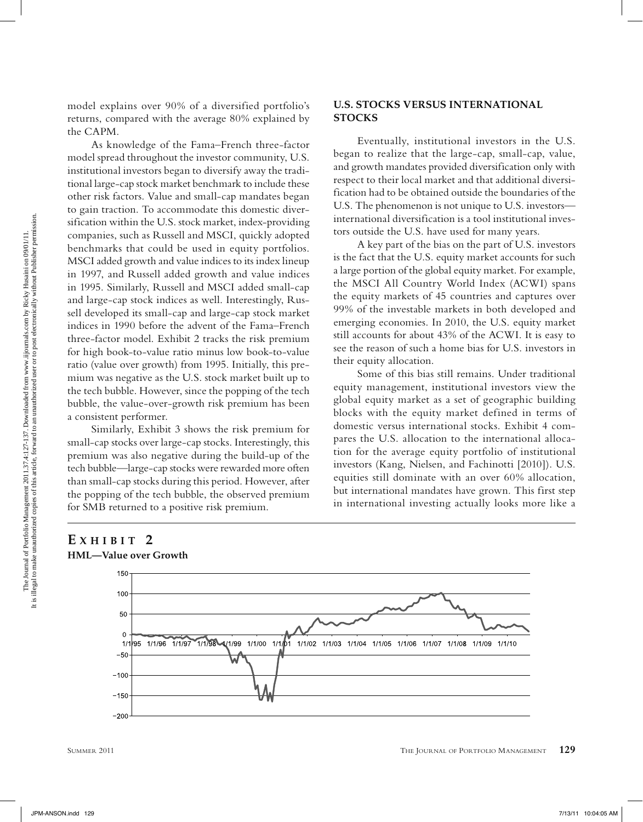model explains over 90% of a diversified portfolio's returns, compared with the average 80% explained by the CAPM.

As knowledge of the Fama–French three-factor model spread throughout the investor community, U.S. institutional investors began to diversify away the traditional large-cap stock market benchmark to include these other risk factors. Value and small-cap mandates began to gain traction. To accommodate this domestic diversification within the U.S. stock market, index-providing companies, such as Russell and MSCI, quickly adopted benchmarks that could be used in equity portfolios. MSCI added growth and value indices to its index lineup in 1997, and Russell added growth and value indices in 1995. Similarly, Russell and MSCI added small-cap and large-cap stock indices as well. Interestingly, Russell developed its small-cap and large-cap stock market indices in 1990 before the advent of the Fama–French three-factor model. Exhibit 2 tracks the risk premium for high book-to-value ratio minus low book-to-value ratio (value over growth) from 1995. Initially, this premium was negative as the U.S. stock market built up to the tech bubble. However, since the popping of the tech bubble, the value-over-growth risk premium has been a consistent performer.

Similarly, Exhibit 3 shows the risk premium for small-cap stocks over large-cap stocks. Interestingly, this premium was also negative during the build-up of the tech bubble—large-cap stocks were rewarded more often than small-cap stocks during this period. However, after the popping of the tech bubble, the observed premium for SMB returned to a positive risk premium.

#### **U.S. STOCKS VERSUS INTERNATIONAL STOCKS**

Eventually, institutional investors in the U.S. began to realize that the large-cap, small-cap, value, and growth mandates provided diversification only with respect to their local market and that additional diversification had to be obtained outside the boundaries of the U.S. The phenomenon is not unique to U.S. investors international diversification is a tool institutional investors outside the U.S. have used for many years.

A key part of the bias on the part of U.S. investors is the fact that the U.S. equity market accounts for such a large portion of the global equity market. For example, the MSCI All Country World Index (ACWI) spans the equity markets of 45 countries and captures over 99% of the investable markets in both developed and emerging economies. In 2010, the U.S. equity market still accounts for about 43% of the ACWI. It is easy to see the reason of such a home bias for U.S. investors in their equity allocation.

Some of this bias still remains. Under traditional equity management, institutional investors view the global equity market as a set of geographic building blocks with the equity market defined in terms of domestic versus international stocks. Exhibit 4 compares the U.S. allocation to the international allocation for the average equity portfolio of institutional investors (Kang, Nielsen, and Fachinotti [2010]). U.S. equities still dominate with an over 60% allocation, but international mandates have grown. This first step in international investing actually looks more like a

#### **E XHIBIT 2 HML—Value over Growth**

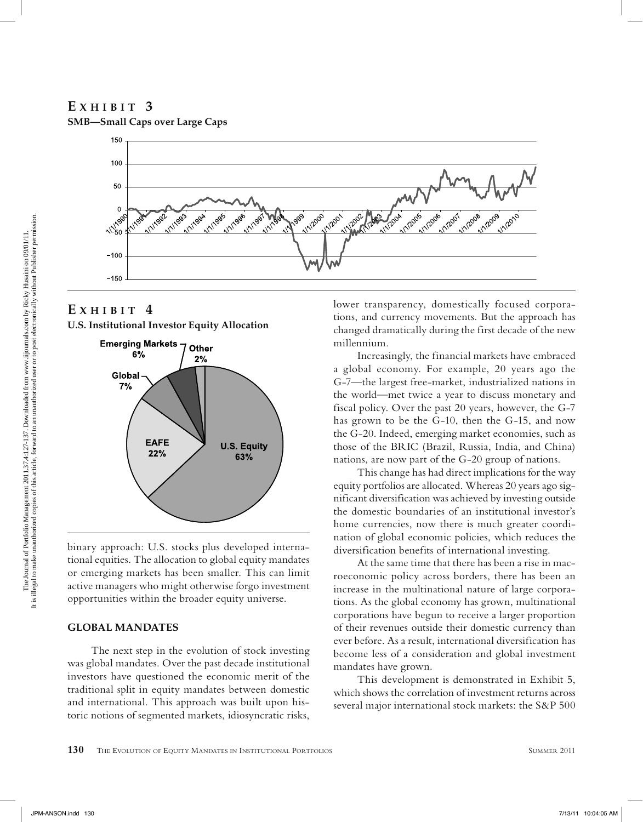**E XHIBIT 3 SMB—Small Caps over Large Caps**



## **E XHIBIT 4 U.S. Institutional Investor Equity Allocation**



binary approach: U.S. stocks plus developed international equities. The allocation to global equity mandates or emerging markets has been smaller. This can limit active managers who might otherwise forgo investment opportunities within the broader equity universe.

#### **GLOBAL MANDATES**

The next step in the evolution of stock investing was global mandates. Over the past decade institutional investors have questioned the economic merit of the traditional split in equity mandates between domestic and international. This approach was built upon historic notions of segmented markets, idiosyncratic risks, lower transparency, domestically focused corporations, and currency movements. But the approach has changed dramatically during the first decade of the new millennium.

Increasingly, the financial markets have embraced a global economy. For example, 20 years ago the G-7—the largest free-market, industrialized nations in the world—met twice a year to discuss monetary and fiscal policy. Over the past 20 years, however, the G-7 has grown to be the G-10, then the G-15, and now the G-20. Indeed, emerging market economies, such as those of the BRIC (Brazil, Russia, India, and China) nations, are now part of the G-20 group of nations.

This change has had direct implications for the way equity portfolios are allocated. Whereas 20 years ago significant diversification was achieved by investing outside the domestic boundaries of an institutional investor's home currencies, now there is much greater coordination of global economic policies, which reduces the diversification benefits of international investing.

At the same time that there has been a rise in macroeconomic policy across borders, there has been an increase in the multinational nature of large corporations. As the global economy has grown, multinational corporations have begun to receive a larger proportion of their revenues outside their domestic currency than ever before. As a result, international diversification has become less of a consideration and global investment mandates have grown.

This development is demonstrated in Exhibit 5, which shows the correlation of investment returns across several major international stock markets: the S&P 500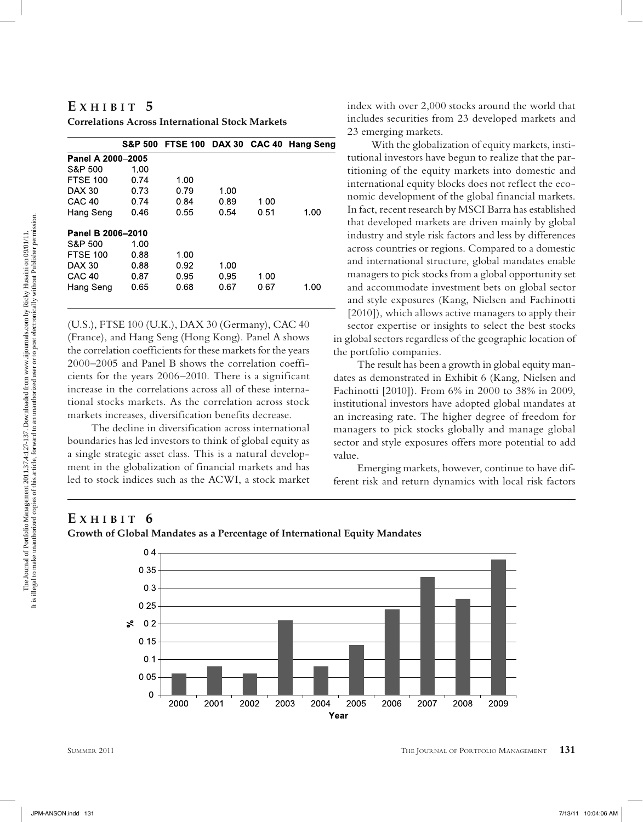## **E XHIBIT 5**

**Correlations Across International Stock Markets**

|                   | <b>S&amp;P 500</b> | FTSE 100 DAX 30 CAC 40 |      |      | <b>Hang Seng</b> |
|-------------------|--------------------|------------------------|------|------|------------------|
| Panel A 2000-2005 |                    |                        |      |      |                  |
| S&P 500           | 1.00               |                        |      |      |                  |
| <b>FTSE 100</b>   | 0.74               | 1.00                   |      |      |                  |
| DAX 30            | 0.73               | 0.79                   | 1.00 |      |                  |
| CAC 40            | 0.74               | 0.84                   | 0.89 | 1.00 |                  |
| Hang Seng         | 0.46               | 0.55                   | 0.54 | 0.51 | 1.00             |
| Panel B 2006-2010 |                    |                        |      |      |                  |
| S&P 500           | 1.00               |                        |      |      |                  |
| <b>FTSE 100</b>   | 0.88               | 1.00                   |      |      |                  |
| DAX 30            | 0.88               | 0.92                   | 1.00 |      |                  |
| CAC 40            | 0.87               | 0.95                   | 0.95 | 1.00 |                  |
| Hang Seng         | 0.65               | 0.68                   | 0.67 | 0.67 | 1.00             |

(U.S.), FTSE 100 (U.K.), DAX 30 (Germany), CAC 40 (France), and Hang Seng (Hong Kong). Panel A shows the correlation coefficients for these markets for the years 2000–2005 and Panel B shows the correlation coefficients for the years 2006–2010. There is a significant increase in the correlations across all of these international stocks markets. As the correlation across stock markets increases, diversification benefits decrease.

The decline in diversification across international boundaries has led investors to think of global equity as a single strategic asset class. This is a natural development in the globalization of financial markets and has led to stock indices such as the ACWI, a stock market index with over 2,000 stocks around the world that includes securities from 23 developed markets and 23 emerging markets.

With the globalization of equity markets, institutional investors have begun to realize that the partitioning of the equity markets into domestic and international equity blocks does not reflect the economic development of the global financial markets. In fact, recent research by MSCI Barra has established that developed markets are driven mainly by global industry and style risk factors and less by differences across countries or regions. Compared to a domestic and international structure, global mandates enable managers to pick stocks from a global opportunity set and accommodate investment bets on global sector and style exposures (Kang, Nielsen and Fachinotti [2010]), which allows active managers to apply their sector expertise or insights to select the best stocks in global sectors regardless of the geographic location of

The result has been a growth in global equity mandates as demonstrated in Exhibit 6 (Kang, Nielsen and Fachinotti [2010]). From 6% in 2000 to 38% in 2009, institutional investors have adopted global mandates at an increasing rate. The higher degree of freedom for managers to pick stocks globally and manage global sector and style exposures offers more potential to add value.

the portfolio companies.

Emerging markets, however, continue to have different risk and return dynamics with local risk factors

## **E XHIBIT 6**

**Growth of Global Mandates as a Percentage of International Equity Mandates**

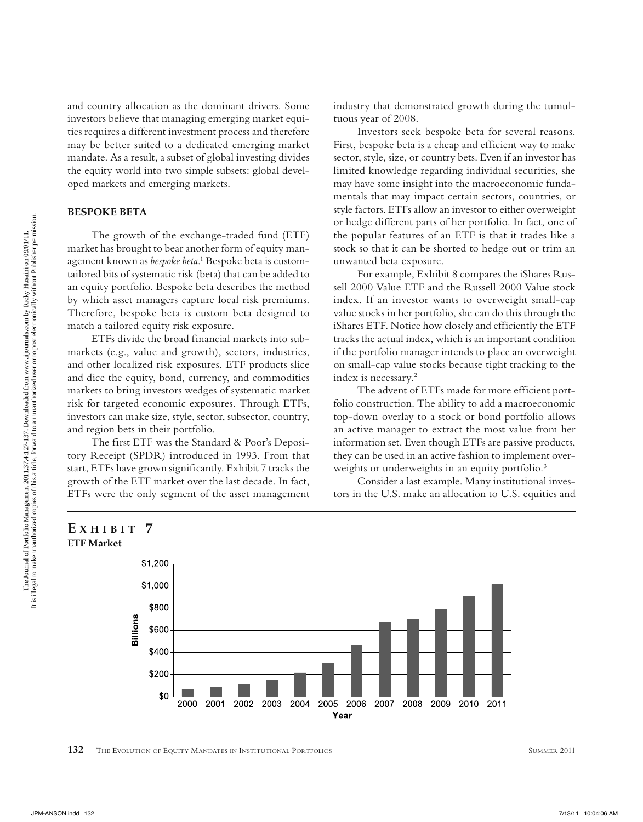and country allocation as the dominant drivers. Some investors believe that managing emerging market equities requires a different investment process and therefore may be better suited to a dedicated emerging market mandate. As a result, a subset of global investing divides the equity world into two simple subsets: global developed markets and emerging markets.

### **BESPOKE BETA**

The growth of the exchange-traded fund (ETF) market has brought to bear another form of equity management known as *bespoke beta*. 1 Bespoke beta is customtailored bits of systematic risk (beta) that can be added to an equity portfolio. Bespoke beta describes the method by which asset managers capture local risk premiums. Therefore, bespoke beta is custom beta designed to match a tailored equity risk exposure.

ETFs divide the broad financial markets into submarkets (e.g., value and growth), sectors, industries, and other localized risk exposures. ETF products slice and dice the equity, bond, currency, and commodities markets to bring investors wedges of systematic market risk for targeted economic exposures. Through ETFs, investors can make size, style, sector, subsector, country, and region bets in their portfolio.

The first ETF was the Standard & Poor's Depository Receipt (SPDR) introduced in 1993. From that start, ETFs have grown significantly. Exhibit 7 tracks the growth of the ETF market over the last decade. In fact, ETFs were the only segment of the asset management industry that demonstrated growth during the tumultuous year of 2008.

Investors seek bespoke beta for several reasons. First, bespoke beta is a cheap and efficient way to make sector, style, size, or country bets. Even if an investor has limited knowledge regarding individual securities, she may have some insight into the macroeconomic fundamentals that may impact certain sectors, countries, or style factors. ETFs allow an investor to either overweight or hedge different parts of her portfolio. In fact, one of the popular features of an ETF is that it trades like a stock so that it can be shorted to hedge out or trim an unwanted beta exposure.

For example, Exhibit 8 compares the iShares Russell 2000 Value ETF and the Russell 2000 Value stock index. If an investor wants to overweight small-cap value stocks in her portfolio, she can do this through the iShares ETF. Notice how closely and efficiently the ETF tracks the actual index, which is an important condition if the portfolio manager intends to place an overweight on small-cap value stocks because tight tracking to the index is necessary.2

The advent of ETFs made for more efficient portfolio construction. The ability to add a macroeconomic top-down overlay to a stock or bond portfolio allows an active manager to extract the most value from her information set. Even though ETFs are passive products, they can be used in an active fashion to implement overweights or underweights in an equity portfolio.<sup>3</sup>

Consider a last example. Many institutional investors in the U.S. make an allocation to U.S. equities and

#### **E XHIBIT 7 ETF Market**

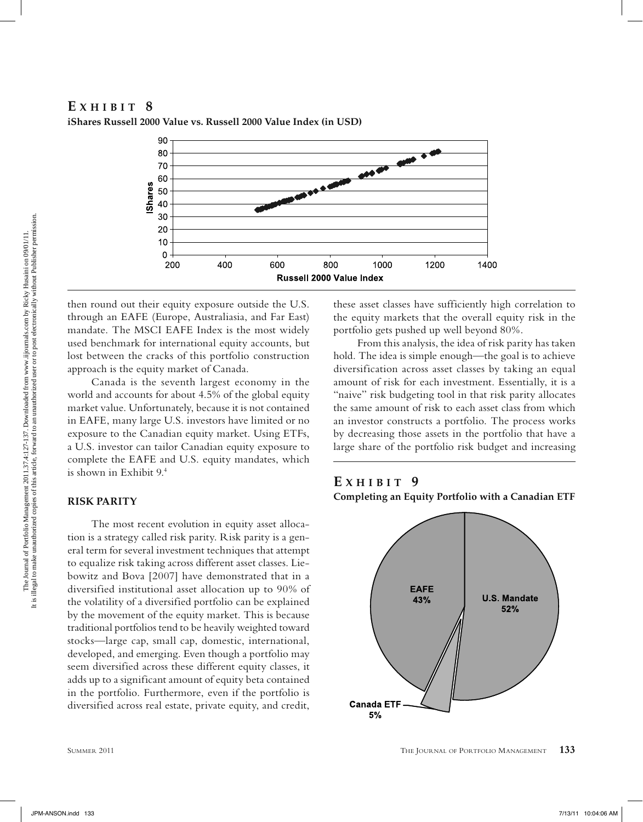



then round out their equity exposure outside the U.S. through an EAFE (Europe, Australiasia, and Far East) mandate. The MSCI EAFE Index is the most widely used benchmark for international equity accounts, but lost between the cracks of this portfolio construction approach is the equity market of Canada.

Canada is the seventh largest economy in the world and accounts for about 4.5% of the global equity market value. Unfortunately, because it is not contained in EAFE, many large U.S. investors have limited or no exposure to the Canadian equity market. Using ETFs, a U.S. investor can tailor Canadian equity exposure to complete the EAFE and U.S. equity mandates, which is shown in Exhibit 9.4

## **RISK PARITY**

The most recent evolution in equity asset allocation is a strategy called risk parity. Risk parity is a general term for several investment techniques that attempt to equalize risk taking across different asset classes. Liebowitz and Bova [2007] have demonstrated that in a diversified institutional asset allocation up to 90% of the volatility of a diversified portfolio can be explained by the movement of the equity market. This is because traditional portfolios tend to be heavily weighted toward stocks—large cap, small cap, domestic, international, developed, and emerging. Even though a portfolio may seem diversified across these different equity classes, it adds up to a significant amount of equity beta contained in the portfolio. Furthermore, even if the portfolio is diversified across real estate, private equity, and credit,

these asset classes have sufficiently high correlation to the equity markets that the overall equity risk in the portfolio gets pushed up well beyond 80%.

From this analysis, the idea of risk parity has taken hold. The idea is simple enough—the goal is to achieve diversification across asset classes by taking an equal amount of risk for each investment. Essentially, it is a "naive" risk budgeting tool in that risk parity allocates the same amount of risk to each asset class from which an investor constructs a portfolio. The process works by decreasing those assets in the portfolio that have a large share of the portfolio risk budget and increasing

# **E XHIBIT 9 Completing an Equity Portfolio with a Canadian ETF**

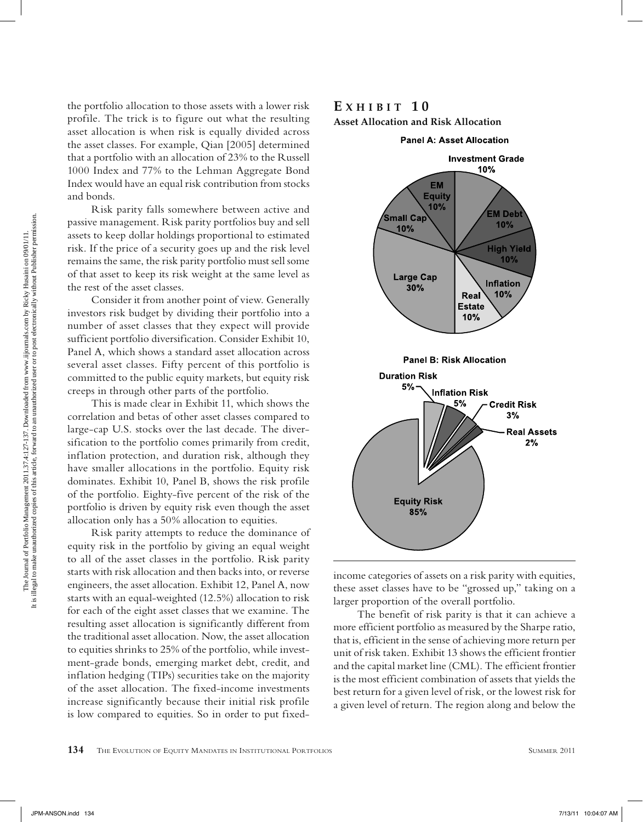the portfolio allocation to those assets with a lower risk profile. The trick is to figure out what the resulting asset allocation is when risk is equally divided across the asset classes. For example, Qian [2005] determined that a portfolio with an allocation of 23% to the Russell 1000 Index and 77% to the Lehman Aggregate Bond Index would have an equal risk contribution from stocks and bonds.

Risk parity falls somewhere between active and passive management. Risk parity portfolios buy and sell assets to keep dollar holdings proportional to estimated risk. If the price of a security goes up and the risk level remains the same, the risk parity portfolio must sell some of that asset to keep its risk weight at the same level as the rest of the asset classes.

Consider it from another point of view. Generally investors risk budget by dividing their portfolio into a number of asset classes that they expect will provide sufficient portfolio diversification. Consider Exhibit 10, Panel A, which shows a standard asset allocation across several asset classes. Fifty percent of this portfolio is committed to the public equity markets, but equity risk creeps in through other parts of the portfolio.

This is made clear in Exhibit 11, which shows the correlation and betas of other asset classes compared to large-cap U.S. stocks over the last decade. The diversification to the portfolio comes primarily from credit, inflation protection, and duration risk, although they have smaller allocations in the portfolio. Equity risk dominates. Exhibit 10, Panel B, shows the risk profile of the portfolio. Eighty-five percent of the risk of the portfolio is driven by equity risk even though the asset allocation only has a 50% allocation to equities.

Risk parity attempts to reduce the dominance of equity risk in the portfolio by giving an equal weight to all of the asset classes in the portfolio. Risk parity starts with risk allocation and then backs into, or reverse engineers, the asset allocation. Exhibit 12, Panel A, now starts with an equal-weighted (12.5%) allocation to risk for each of the eight asset classes that we examine. The resulting asset allocation is significantly different from the traditional asset allocation. Now, the asset allocation to equities shrinks to 25% of the portfolio, while investment-grade bonds, emerging market debt, credit, and inflation hedging (TIPs) securities take on the majority of the asset allocation. The fixed-income investments increase significantly because their initial risk profile is low compared to equities. So in order to put fixed-

## **E XHIBIT 10 Asset Allocation and Risk Allocation**



income categories of assets on a risk parity with equities, these asset classes have to be "grossed up," taking on a larger proportion of the overall portfolio.

The benefit of risk parity is that it can achieve a more efficient portfolio as measured by the Sharpe ratio, that is, efficient in the sense of achieving more return per unit of risk taken. Exhibit 13 shows the efficient frontier and the capital market line (CML). The efficient frontier is the most efficient combination of assets that yields the best return for a given level of risk, or the lowest risk for a given level of return. The region along and below the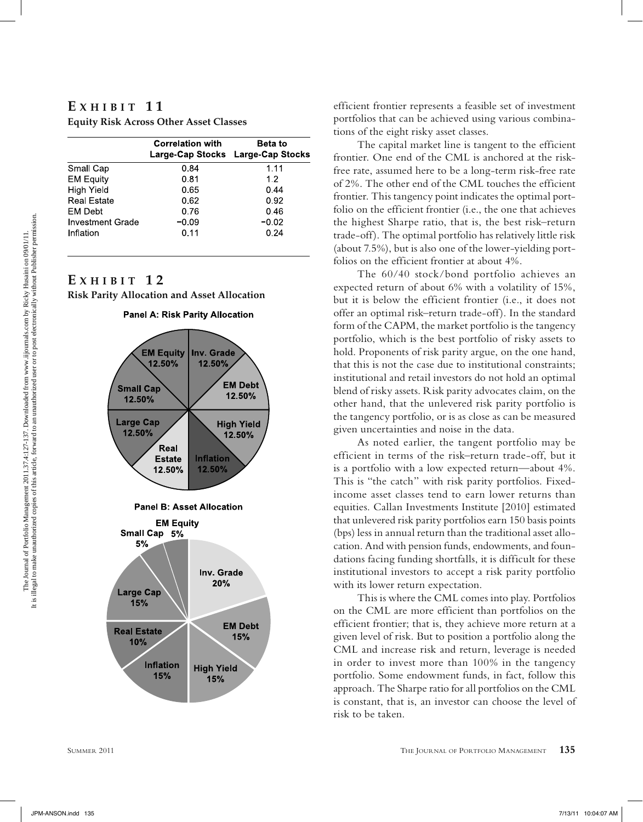|                         | <b>Correlation with</b> | Beta to<br>Large-Cap Stocks Large-Cap Stocks |
|-------------------------|-------------------------|----------------------------------------------|
| Small Cap               | 0.84                    | 1.11                                         |
| <b>EM Equity</b>        | 0.81                    | 1.2                                          |
| High Yield              | 0.65                    | 0.44                                         |
| <b>Real Estate</b>      | 0.62                    | 0.92                                         |
| EM Debt                 | 0.76                    | 0.46                                         |
| <b>Investment Grade</b> | $-0.09$                 | $-0.02$                                      |
| Inflation               | 0.11                    | 0.24                                         |

## **E XHIBIT 12**

**Risk Parity Allocation and Asset Allocation**





efficient frontier represents a feasible set of investment portfolios that can be achieved using various combinations of the eight risky asset classes.

The capital market line is tangent to the efficient frontier. One end of the CML is anchored at the riskfree rate, assumed here to be a long-term risk-free rate of 2%. The other end of the CML touches the efficient frontier. This tangency point indicates the optimal portfolio on the efficient frontier (i.e., the one that achieves the highest Sharpe ratio, that is, the best risk–return trade-off). The optimal portfolio has relatively little risk (about 7.5%), but is also one of the lower-yielding portfolios on the efficient frontier at about 4%.

The 60/40 stock/bond portfolio achieves an expected return of about 6% with a volatility of 15%, but it is below the efficient frontier (i.e., it does not offer an optimal risk–return trade-off). In the standard form of the CAPM, the market portfolio is the tangency portfolio, which is the best portfolio of risky assets to hold. Proponents of risk parity argue, on the one hand, that this is not the case due to institutional constraints; institutional and retail investors do not hold an optimal blend of risky assets. Risk parity advocates claim, on the other hand, that the unlevered risk parity portfolio is the tangency portfolio, or is as close as can be measured given uncertainties and noise in the data.

As noted earlier, the tangent portfolio may be efficient in terms of the risk–return trade-off, but it is a portfolio with a low expected return—about 4%. This is "the catch" with risk parity portfolios. Fixedincome asset classes tend to earn lower returns than equities. Callan Investments Institute [2010] estimated that unlevered risk parity portfolios earn 150 basis points (bps) less in annual return than the traditional asset allocation. And with pension funds, endowments, and foundations facing funding shortfalls, it is difficult for these institutional investors to accept a risk parity portfolio with its lower return expectation.

This is where the CML comes into play. Portfolios on the CML are more efficient than portfolios on the efficient frontier; that is, they achieve more return at a given level of risk. But to position a portfolio along the CML and increase risk and return, leverage is needed in order to invest more than 100% in the tangency portfolio. Some endowment funds, in fact, follow this approach. The Sharpe ratio for all portfolios on the CML is constant, that is, an investor can choose the level of risk to be taken.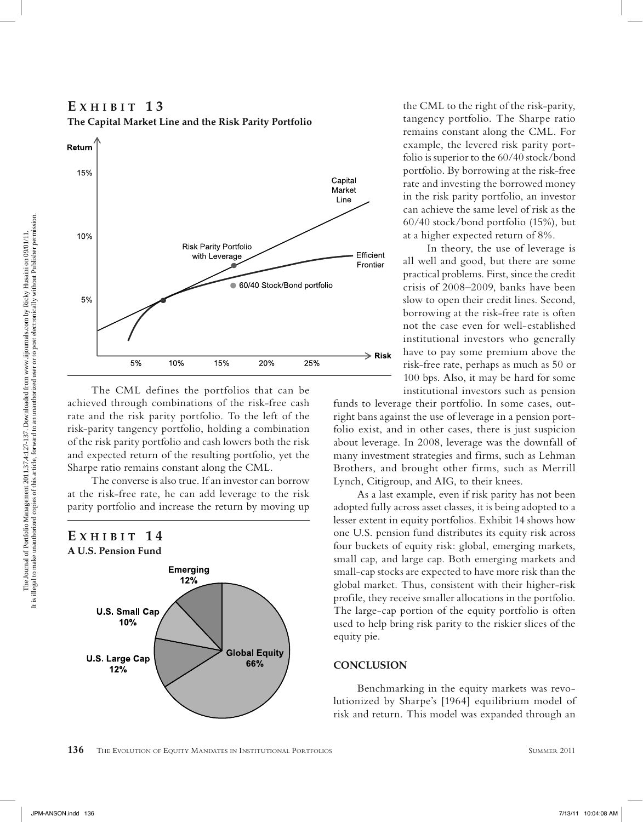## **E XHIBIT 13 The Capital Market Line and the Risk Parity Portfolio**



The CML defines the portfolios that can be achieved through combinations of the risk-free cash rate and the risk parity portfolio. To the left of the risk-parity tangency portfolio, holding a combination of the risk parity portfolio and cash lowers both the risk and expected return of the resulting portfolio, yet the Sharpe ratio remains constant along the CML.

The converse is also true. If an investor can borrow at the risk-free rate, he can add leverage to the risk parity portfolio and increase the return by moving up





the CML to the right of the risk-parity, tangency portfolio. The Sharpe ratio remains constant along the CML. For example, the levered risk parity portfolio is superior to the 60/40 stock/bond portfolio. By borrowing at the risk-free rate and investing the borrowed money in the risk parity portfolio, an investor can achieve the same level of risk as the 60/40 stock/bond portfolio (15%), but at a higher expected return of 8%.

In theory, the use of leverage is all well and good, but there are some practical problems. First, since the credit crisis of 2008–2009, banks have been slow to open their credit lines. Second, borrowing at the risk-free rate is often not the case even for well-established institutional investors who generally have to pay some premium above the risk-free rate, perhaps as much as 50 or 100 bps. Also, it may be hard for some institutional investors such as pension

funds to leverage their portfolio. In some cases, outright bans against the use of leverage in a pension portfolio exist, and in other cases, there is just suspicion about leverage. In 2008, leverage was the downfall of many investment strategies and firms, such as Lehman Brothers, and brought other firms, such as Merrill Lynch, Citigroup, and AIG, to their knees.

As a last example, even if risk parity has not been adopted fully across asset classes, it is being adopted to a lesser extent in equity portfolios. Exhibit 14 shows how one U.S. pension fund distributes its equity risk across four buckets of equity risk: global, emerging markets, small cap, and large cap. Both emerging markets and small-cap stocks are expected to have more risk than the global market. Thus, consistent with their higher-risk profile, they receive smaller allocations in the portfolio. The large-cap portion of the equity portfolio is often used to help bring risk parity to the riskier slices of the equity pie.

#### **CONCLUSION**

Benchmarking in the equity markets was revolutionized by Sharpe's [1964] equilibrium model of risk and return. This model was expanded through an